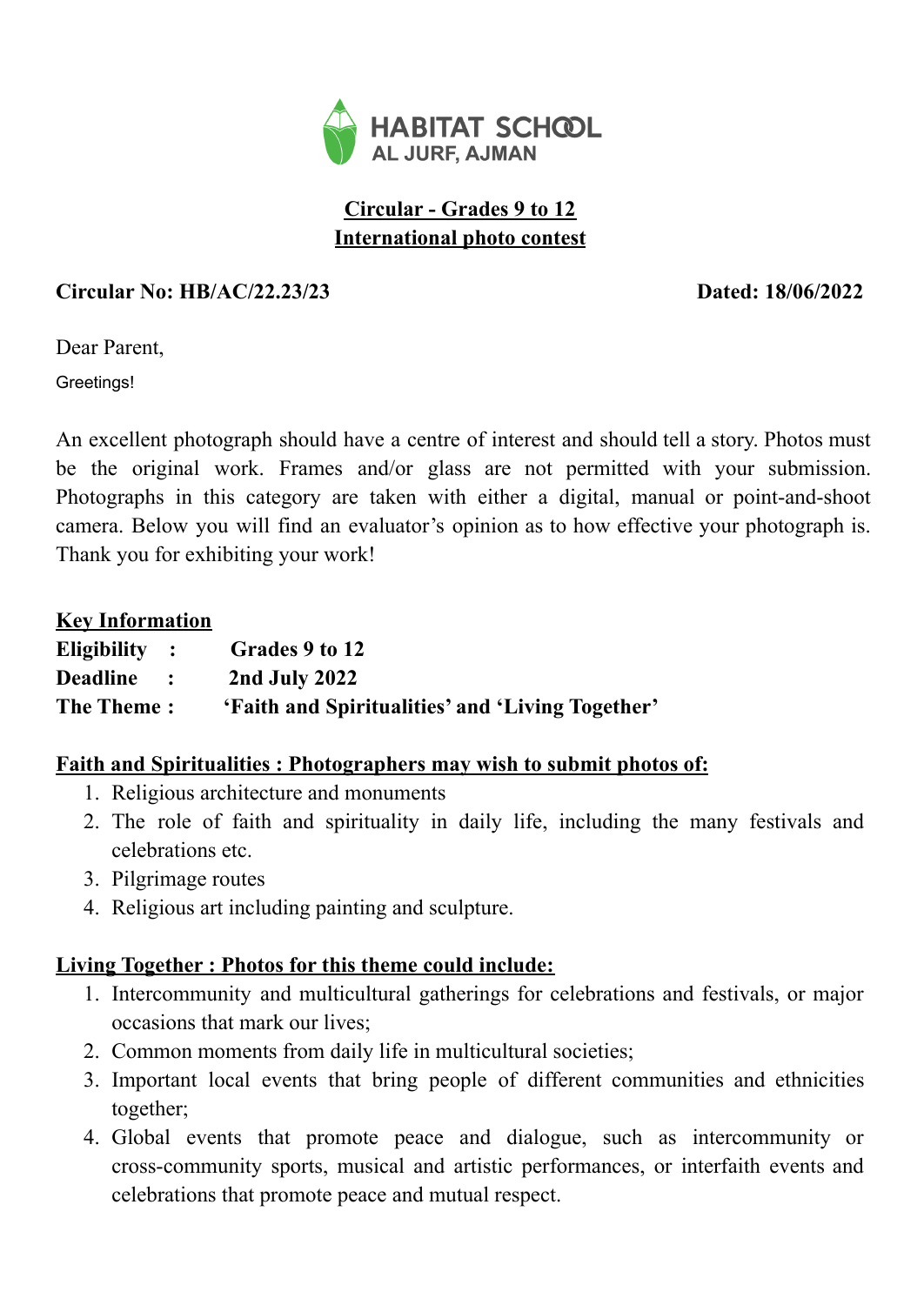

# **Circular - Grades 9 to 12 International photo contest**

## **Circular No: HB/AC/22.23/23 Dated: 18/06/2022**

Dear Parent,

Greetings!

An excellent photograph should have a centre of interest and should tell a story. Photos must be the original work. Frames and/or glass are not permitted with your submission. Photographs in this category are taken with either a digital, manual or point-and-shoot camera. Below you will find an evaluator's opinion as to how effective your photograph is. Thank you for exhibiting your work!

#### **Key Information**

| $E$ ligibility:                         | Grades 9 to 12                                   |
|-----------------------------------------|--------------------------------------------------|
| <b>Deadline</b><br>$\sim$ $\sim$ $\sim$ | 2nd July 2022                                    |
| <b>The Theme:</b>                       | 'Faith and Spiritualities' and 'Living Together' |

### **Faith and Spiritualities : Photographers may wish to submit photos of:**

- 1. Religious architecture and monuments
- 2. The role of faith and spirituality in daily life, including the many festivals and celebrations etc.
- 3. Pilgrimage routes
- 4. Religious art including painting and sculpture.

### **Living Together : Photos for this theme could include:**

- 1. Intercommunity and multicultural gatherings for celebrations and festivals, or major occasions that mark our lives;
- 2. Common moments from daily life in multicultural societies;
- 3. Important local events that bring people of different communities and ethnicities together;
- 4. Global events that promote peace and dialogue, such as intercommunity or cross-community sports, musical and artistic performances, or interfaith events and celebrations that promote peace and mutual respect.